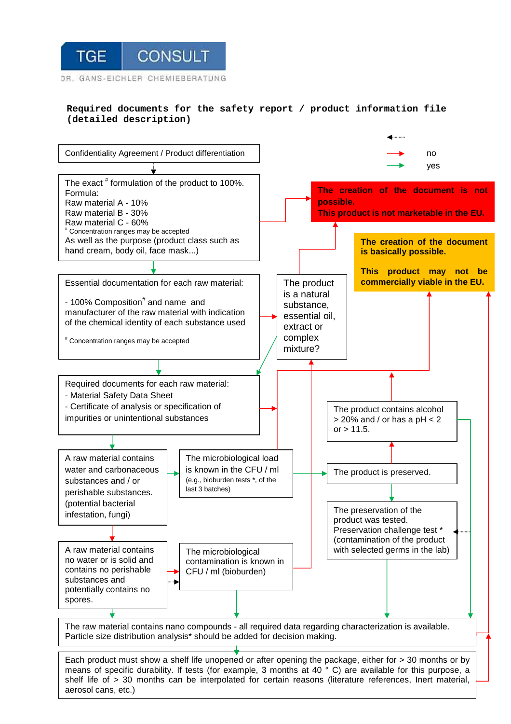

## **Required documents for the safety report / product information file (detailed description)**